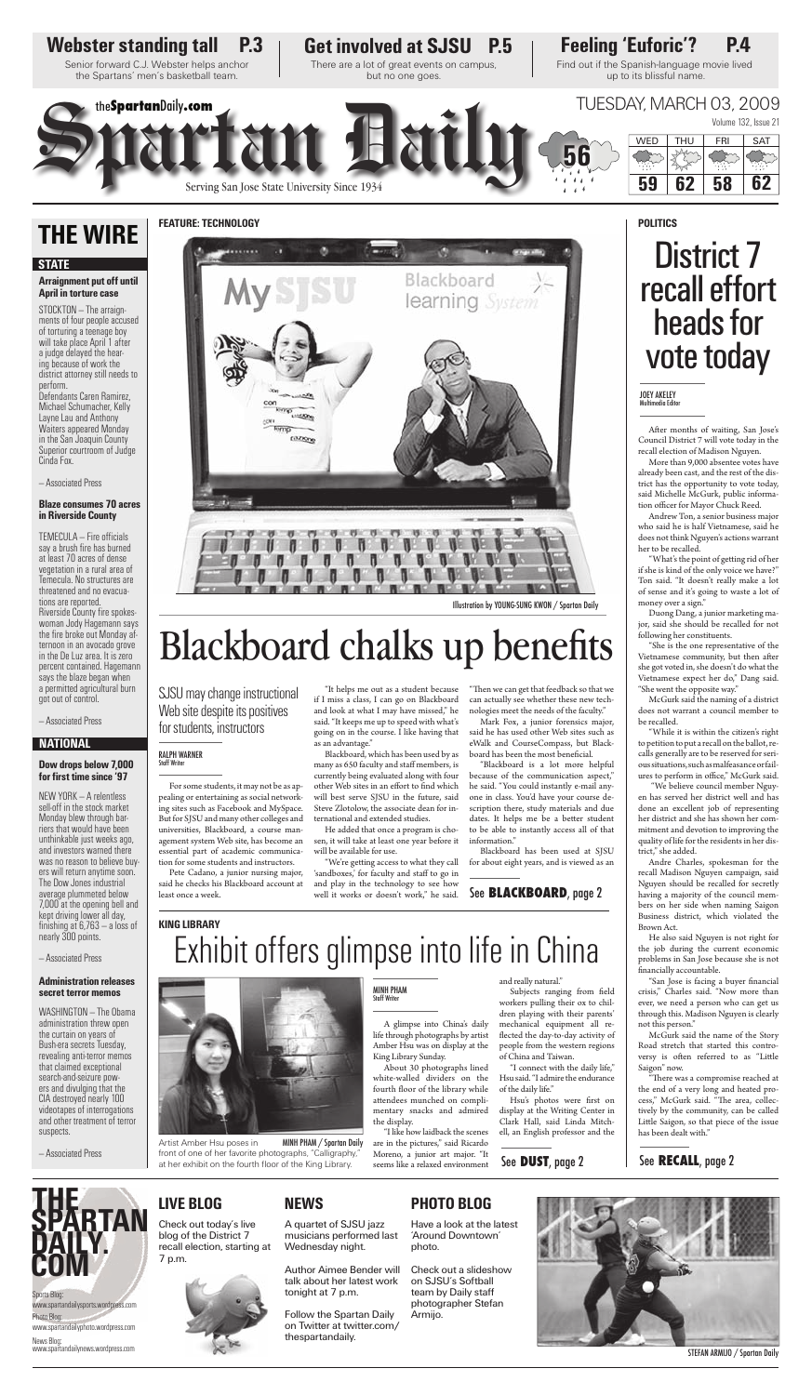Artist Amber Hsu poses in

front of one of her favorite photographs, "Calligraphy," at her exhibit on the fourth floor of the King Library.



MINH PHAM / Spartan Daily

A glimpse into China's daily life through photographs by artist Amber Hsu was on display at the

King Library Sunday.

About 30 photographs lined white-walled dividers on the fourth floor of the library while attendees munched on complimentary snacks and admired

Subjects ranging from field workers pulling their ox to children playing with their parents' mechanical equipment all reflected the day-to-day activity of people from the western regions of China and Taiwan.

the display.

Hsu's photos were first on display at the Writing Center in Clark Hall, said Linda Mitchell, an English professor and the

"I like how laidback the scenes are in the pictures," said Ricardo Moreno, a junior art major. "It seems like a relaxed environment

### See **DUST**, page 2 See **RECALL**, page 2



Author Aimee Bender will talk about her latest work tonight at 7 p.m.

"I connect with the daily life," Hsu said. "I admire the endurance of the daily life."

STEFAN ARMIJO / Spartan Daily

Sports Blog: www.spartandailysports.wordpress.com Photo Blog:

www.spartandailyphoto.wordpress.com

News Blog: www.spartandailynews.wordpress.com

### **LIVE BLOG NEWS**

A quartet of SJSU jazz musicians performed last Wednesday night.

 $TEMECULA - Fire$  officials say a brush fire has burned at least 70 acres of dense vegetation in a rural area of Temecula. No structures are threatened and no evacuations are reported. Riverside County fire spokeswoman Jody Hagemann says the fire broke out Monday afternoon in an avocado grove in the De Luz area. It is zero percent contained. Hagemann says the blaze began when a permitted agricultural burn got out of control.

#### **Dow drops below 7,000**  for first time since '97

Follow the Spartan Daily on Twitter at twitter.com/ thespartandaily.

Check out today's live blog of the District 7 recall election, starting at 7 p.m.

### **PHOTO BLOG**

Have a look at the latest 'Around Downtown' photo.

Check out a slideshow on SJSU's Softball team by Daily staff photographer Stefan Armijo.



**THE SPARTAN DAILY. COM**

#### **Arraignment put off until April in torture case**

After months of waiting, San Jose's Council District 7 will vote today in the recall election of Madison Nguyen.

More than 9,000 absentee votes have already been cast, and the rest of the district has the opportunity to vote today, said Michelle McGurk, public information officer for Mayor Chuck Reed.

STOCKTON — The arraignments of four people accused of torturing a teenage boy will take place April 1 after a judge delayed the hearing because of work the district attorney still needs to perform. Defendants Caren Ramirez, Michael Schumacher, Kelly Layne Lau and Anthony Waiters appeared Monday in the San Joaquin County Superior courtroom of Judge Cinda Fox.

— Associated Press

#### **Blaze consumes 70 acres in Riverside County**

"What's the point of getting rid of her if she is kind of the only voice we have?" Ton said. "It doesn't really make a lot of sense and it's going to waste a lot of money over a sign."

"While it is within the citizen's right to petition to put a recall on the ballot, recalls generally are to be reserved for serious situations, such as malfeasance or failures to perform in office," McGurk said.

Volume 132, Issue 21 Spartan Daily.com<br>Spartan Daily.com<br>Serving San Jose State University Since 1934 the**Spartan**Daily**.com** TUESDAY, MARCH 03, 2009 **56** WED | THU | FRI | SAT **59 62 58 62**

— Associated Press

NEW YORK — A relentless sell-off in the stock market

Blackboard learning System **LISOR CITZKIYIN** Illustration by YOUNG-SUNG KWON / Spartan Daily Blackboard chalks up benefits

Monday blew through barriers that would have been unthinkable just weeks ago, and investors warned there was no reason to believe buyers will return anytime soon. The Dow Jones industrial average plummeted below 7,000 at the opening bell and kept driving lower all day, finishing at  $6,763 - a$  loss of nearly 300 points.

— Associated Press

#### **Administration releases secret terror memos**

WASHINGTON — The Obama administration threw open the curtain on years of Bush-era secrets Tuesday, revealing anti-terror memos that claimed exceptional search-and-seizure powers and divulging that the CIA destroyed nearly 100 videotapes of interrogations and other treatment of terror suspects.

— Associated Press

### **THE WIRE**

### **NATIONAL**

#### **STATE**

Senior forward C.J. Webster helps anchor the Spartans' men's basketball team.

> "We're getting access to what they call 'sandboxes,' for faculty and staff to go in and play in the technology to see how well it works or doesn't work," he said.

Find out if the Spanish-language movie lived up to its blissful name.

"Then we can get that feedback so that we can actually see whether these new technologies meet the needs of the faculty."

Mark Fox, a junior forensics major, said he has used other Web sites such as eWalk and CourseCompass, but Blackboard has been the most beneficial.

There are a lot of great events on campus, but no one goes.

# District 7 recall effort heads for

vote today

dates. It helps me be a better student to be able to instantly access all of that

#### JOEY AKELEY ultimedia Edito

Andrew Ton, a senior business major who said he is half Vietnamese, said he does not think Nguyen's actions warrant her to be recalled.

Duong Dang, a junior marketing major, said she should be recalled for not following her constituents.

"She is the one representative of the Vietnamese community, but then after she got voted in, she doesn't do what the Vietnamese expect her do," Dang said. "She went the opposite way."

McGurk said the naming of a district does not warrant a council member to be recalled.

 "We believe council member Nguyen has served her district well and has done an excellent job of representing her district and she has shown her commitment and devotion to improving the quality of life for the residents in her district," she added. Andre Charles, spokesman for the recall Madison Nguyen campaign, said Nguyen should be recalled for secretly having a majority of the council members on her side when naming Saigon Business district, which violated the Brown Act. He also said Nguyen is not right for the job during the current economic problems in San Jose because she is not financially accountable. "San Jose is facing a buyer financial crisis," Charles said. "Now more than ever, we need a person who can get us through this. Madison Nguyen is clearly not this person." McGurk said the name of the Story Road stretch that started this controversy is often referred to as "Little Saigon" now. "There was a compromise reached at the end of a very long and heated process," McGurk said. "The area, collectively by the community, can be called Little Saigon, so that piece of the issue has been dealt with."

For some students, it may not be as appealing or entertaining as social networking sites such as Facebook and MySpace. But for SJSU and many other colleges and universities, Blackboard, a course management system Web site, has become an essential part of academic communication for some students and instructors.

Pete Cadano, a junior nursing major, said he checks his Blackboard account at least once a week.

"It helps me out as a student because if I miss a class, I can go on Blackboard and look at what I may have missed," he said. "It keeps me up to speed with what's going on in the course. I like having that as an advantage."

ternational and extended studies.

He added that once a program is chosen, it will take at least one year before it

will be available for use.

Blackboard, which has been used by as many as 650 faculty and staff members, is currently being evaluated along with four other Web sites in an effort to find which will best serve SJSU in the future, said Steve Zlotolow, the associate dean for in-scription there, study materials and due

"Blackboard is a lot more helpful because of the communication aspect," he said. "You could instantly e-mail anyone in class. You'd have your course de-

information."

Blackboard has been used at SJSU for about eight years, and is viewed as an

MINH PHAM Staff Writer

See **BLACKBOARD**, page 2

# Exhibit offers glimpse into life in China

**FEATURE: TECHNOLOGY**

### Webster standing tall P.3 | Get involved at SJSU P.5 | Feeling 'Euforic'? P.4

#### **KING LIBRARY**

**POLITICS**

SJSU may change instructional Web site despite its positives for students, instructors

#### RALPH WARNER Staff Writer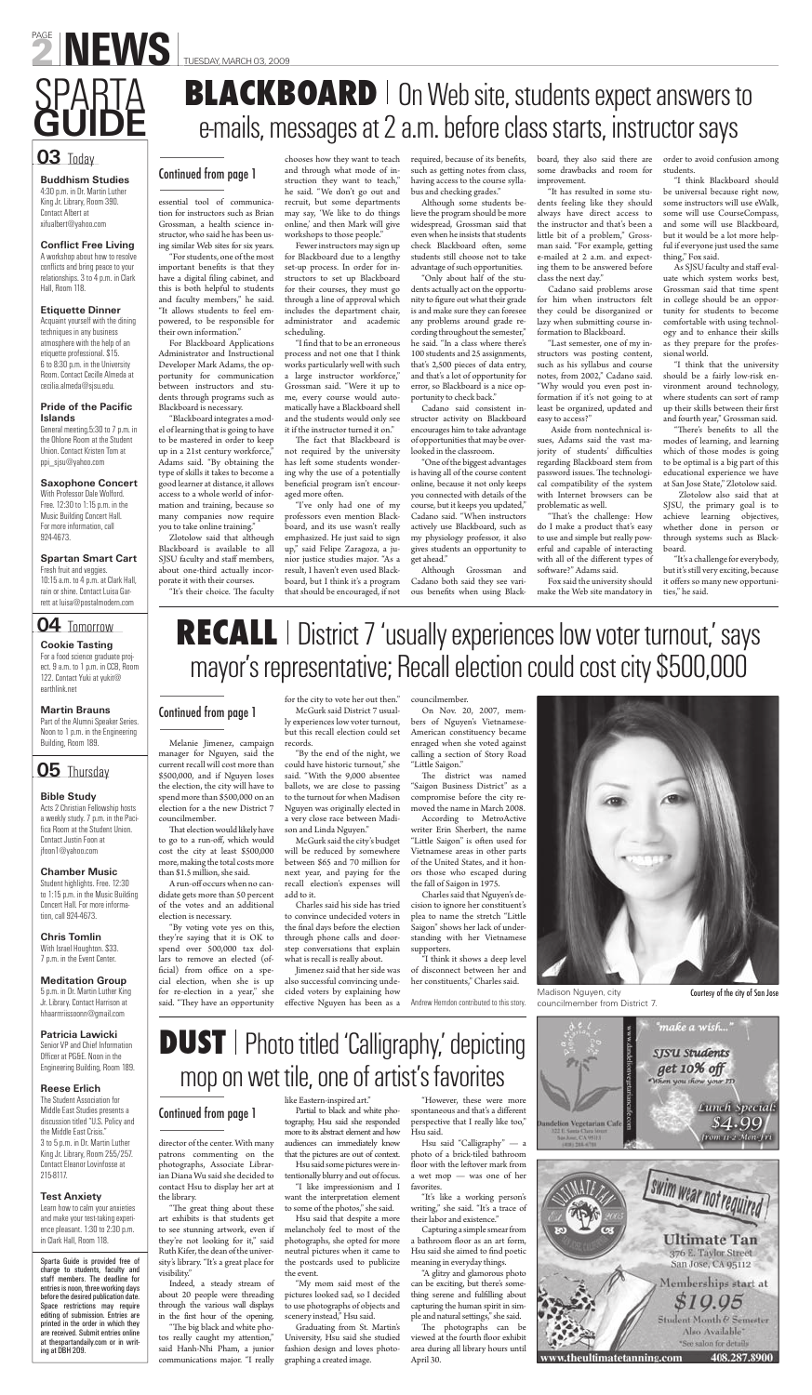#### **Buddhism Studies**

4:30 p.m. in Dr. Martin Luther King Jr. Library, Room 390. Contact Albert at xifualbert@yahoo.com

#### **Conflict Free Living**

A workshop about how to resolve conflicts and bring peace to your relationships. 3 to 4 p.m. in Clark Hall, Room 118.

#### **Pride of the Pacific Islands**

#### **Etiquette Dinner**

Acquaint yourself with the dining techniques in any business atmosphere with the help of an etiquette professional. \$15. 6 to 8:30 p.m. in the University Room. Contact Cecille Almeda at cecilia.almeda@sjsu.edu.

General meeting.5:30 to 7 p.m. in the Ohlone Room at the Student Union. Contact Kristen Tom at ppi\_sjsu@yahoo.com

#### **Saxophone Concert**

With Professor Dale Wolford. Free. 12:30 to 1:15 p.m. in the Music Building Concert Hall. For more information, call 924-4673.

#### **Spartan Smart Cart** Fresh fruit and veggies. 10:15 a.m. to 4 p.m. at Clark Hall, rain or shine. Contact Luisa Garrett at luisa@postalmodern.com

#### **Cookie Tasting**

For a food science graduate project. 9 a.m. to 1 p.m. in CCB, Room 122. Contact Yuki at yukit@ earthlink.net

### **Martin Brauns**

Part of the Alumni Speaker Series. Noon to 1 p.m. in the Engineering Building, Room 189.

**Bible Study** Acts 2 Christian Fellowship hosts a weekly study. 7 p.m. in the Pacifica Room at the Student Union. Contact Justin Foon at jfoon1@yahoo.com

#### **Chamber Music**

Student highlights. Free. 12:30 to 1:15 p.m. in the Music Building Concert Hall. For more information, call 924-4673.

#### **Chris Tomlin**

With Israel Houghton. \$33. 7 p.m. in the Event Center.

#### **Meditation Group**

5 p.m. in Dr. Martin Luther King Jr. Library. Contact Harrison at hhaarrrriissoonn@gmail.com

#### **Patricia Lawicki**

Senior VP and Chief Information Officer at PG&E. Noon in the Engineering Building, Room 189.

#### **Reese Erlich**

The Student Association for Middle East Studies presents a discussion titled "U.S. Policy and the Middle East Crisis." 3 to 5 p.m. in Dr. Martin Luther King Jr. Library, Room 255/257. Contact Eleanor Lovinfosse at 215-8117.

#### **Test Anxiety**

Learn how to calm your anxieties and make your test-taking experience pleasant. 1:30 to 2:30 p.m. in Clark Hall, Room 118.

"I find that to be an erroneous process and not one that I think works particularly well with such a large instructor workforce," Grossman said. "Were it up to me, every course would automatically have a Blackboard shell and the students would only see it if the instructor turned it on."

The fact that Blackboard is not required by the university has left some students wondering why the use of a potentially beneficial program isn't encouraged more often.

Sparta Guide is provided free of charge to students, faculty and staff members. The deadline for entries is noon, three working days before the desired publication date. Space restrictions may require editing of submission. Entries are printed in the order in which they are received. Submit entries online at thespartandaily.com or in writing at DBH 209.



### **04** Tomorrow



required, because of its benefits, such as getting notes from class, having access to the course syllabus and checking grades."

essential tool of communication for instructors such as Brian Grossman, a health science instructor, who said he has been using similar Web sites for six years.

"For students, one of the most important benefits is that they have a digital filing cabinet, and this is both helpful to students and faculty members," he said. "It allows students to feel empowered, to be responsible for their own information."

For Blackboard Applications Administrator and Instructional Developer Mark Adams, the opportunity for communication between instructors and students through programs such as Blackboard is necessary.

> Although Grossman and Cadano both said they see various benefits when using Black-

"Blackboard integrates a model of learning that is going to have to be mastered in order to keep up in a 21st century workforce," Adams said. "By obtaining the type of skills it takes to become a good learner at distance, it allows access to a whole world of information and training, because so many companies now require you to take online training."

Zlotolow said that although Blackboard is available to all SJSU faculty and staff members, about one-third actually incorporate it with their courses.

"It's their choice. The faculty

chooses how they want to teach and through what mode of instruction they want to teach," he said. "We don't go out and recruit, but some departments may say, 'We like to do things online,' and then Mark will give workshops to those people."

Fewer instructors may sign up for Blackboard due to a lengthy set-up process. In order for instructors to set up Blackboard for their courses, they must go through a line of approval which includes the department chair, administrator and academic scheduling.

> "There's benefits to all the modes of learning, and learning which of those modes is going to be optimal is a big part of this educational experience we have at San Jose State," Zlotolow said.

# **BLACKBOARD** | On Web site, students expect answers to e-mails, messages at 2 a.m. before class starts, instructor says

# **RECALL** | District 7 'usually experiences low voter turnout,' says mayor's representative; Recall election could cost city \$500,000

"The great thing about these art exhibits is that students get to see stunning artwork, even if they're not looking for it," said Ruth Kifer, the dean of the university's library. "It's a great place for

"I've only had one of my professors even mention Blackboard, and its use wasn't really emphasized. He just said to sign up," said Felipe Zaragoza, a junior justice studies major. "As a result, I haven't even used Blackboard, but I think it's a program that should be encouraged, if not

Although some students believe the program should be more widespread, Grossman said that even when he insists that students check Blackboard often, some students still choose not to take advantage of such opportunities.

"A glitzy and glamorous photo can be exciting, but there's something serene and fulfilling about capturing the human spirit in simple and natural settings," she said.

"Only about half of the students actually act on the opportunity to figure out what their grade is and make sure they can foresee any problems around grade recording throughout the semester," he said. "In a class where there's 100 students and 25 assignments, that's 2,500 pieces of data entry, and that's a lot of opportunity for error, so Blackboard is a nice opportunity to check back."

The photographs can be viewed at the fourth floor exhibit area during all library hours until April 30.





# **DUST** | Photo titled 'Calligraphy,' depicting mop on wet tile, one of artist's favorites

Melanie Jimenez, campaign manager for Nguyen, said the current recall will cost more than \$500,000, and if Nguyen loses the election, the city will have to spend more than \$500,000 on an election for a the new District 7 councilmember. That election would likely have to go to a run-off, which would cost the city at least \$500,000 more, making the total costs more than \$1.5 million, she said. A run-off occurs when no candidate gets more than 50 percent of the votes and an additional election is necessary. "By voting vote yes on this, they're saying that it is OK to spend over 500,000 tax dollars to remove an elected (official) from office on a special election, when she is up for re-election in a year," she said. "They have an opportunity

Cadano said consistent instructor activity on Blackboard encourages him to take advantage of opportunities that may be overlooked in the classroom.

"One of the biggest advantages is having all of the course content online, because it not only keeps you connected with details of the course, but it keeps you updated," Cadano said. "When instructors actively use Blackboard, such as my physiology professor, it also gives students an opportunity to get ahead."

board, they also said there are some drawbacks and room for improvement.

Jimenez said that her side was also successful convincing undecided voters by explaining how effective Nguyen has been as a

On Nov. 20, 2007, members of Nguyen's Vietnamese-American constituency became enraged when she voted against calling a section of Story Road "Little Saigon."

"It has resulted in some students feeling like they should always have direct access to the instructor and that's been a little bit of a problem," Grossman said. "For example, getting e-mailed at 2 a.m. and expecting them to be answered before class the next day."

Cadano said problems arose for him when instructors felt they could be disorganized or lazy when submitting course information to Blackboard.

The district was named "Saigon Business District" as a compromise before the city removed the name in March 2008. According to MetroActive writer Erin Sherbert, the name "Little Saigon" is often used for Vietnamese areas in other parts of the United States, and it honors those who escaped during the fall of Saigon in 1975. Charles said that Nguyen's decision to ignore her constituent's plea to name the stretch "Little Saigon" shows her lack of understanding with her Vietnamese supporters.



"Last semester, one of my instructors was posting content, such as his syllabus and course notes, from 2002," Cadano said. "Why would you even post information if it's not going to at least be organized, updated and easy to access?"

 Aside from nontechnical issues, Adams said the vast majority of students' difficulties regarding Blackboard stem from password issues. The technological compatibility of the system with Internet browsers can be problematic as well.

"That's the challenge: How do I make a product that's easy to use and simple but really powerful and capable of interacting with all of the different types of software?" Adams said.

Fox said the university should make the Web site mandatory in order to avoid confusion among students.

"I think Blackboard should be universal because right now, some instructors will use eWalk, some will use CourseCompass, and some will use Blackboard, but it would be a lot more helpful if everyone just used the same thing," Fox said.

As SJSU faculty and staff evaluate which system works best, Grossman said that time spent in college should be an opportunity for students to become comfortable with using technology and to enhance their skills as they prepare for the professional world.

"I think that the university should be a fairly low-risk environment around technology, where students can sort of ramp up their skills between their first and fourth year," Grossman said.

 Zlotolow also said that at SJSU, the primary goal is to achieve learning objectives, whether done in person or through systems such as Blackboard.

"It's a challenge for everybody, but it's still very exciting, because it offers so many new opportunities," he said.

### Continued from page 1

director of the center. With many patrons commenting on the photographs, Associate Librarian Diana Wu said she decided to contact Hsu to display her art at

the library.

visibility."

Indeed, a steady stream of about 20 people were threading through the various wall displays in the first hour of the opening. "The big black and white photos really caught my attention," said Hanh-Nhi Pham, a junior communications major. "I really

like Eastern-inspired art."

Partial to black and white photography, Hsu said she responded more to its abstract element and how audiences can immediately know that the pictures are out of context.

Hsu said some pictures were intentionally blurry and out of focus. "I like impressionism and I

want the interpretation element to some of the photos," she said.

Hsu said that despite a more melancholy feel to most of the photographs, she opted for more neutral pictures when it came to the postcards used to publicize the event.

"My mom said most of the pictures looked sad, so I decided to use photographs of objects and scenery instead," Hsu said.

Graduating from St. Martin's University, Hsu said she studied fashion design and loves photographing a created image.

"However, these were more spontaneous and that's a different perspective that I really like too," Hsu said.

Hsu said "Calligraphy" — a photo of a brick-tiled bathroom floor with the leftover mark from a wet mop — was one of her favorites.

"It's like a working person's writing," she said. "It's a trace of their labor and existence."

Capturing a simple smear from a bathroom floor as an art form, Hsu said she aimed to find poetic meaning in everyday things.

Continued from page 1

for the city to vote her out then." McGurk said District 7 usually experiences low voter turnout, but this recall election could set records.

"By the end of the night, we could have historic turnout," she said. "With the 9,000 absentee ballots, we are close to passing to the turnout for when Madison Nguyen was originally elected in

a very close race between Madison and Linda Nguyen."

McGurk said the city's budget will be reduced by somewhere between \$65 and 70 million for next year, and paying for the recall election's expenses will add to it.

Charles said his side has tried to convince undecided voters in the final days before the election through phone calls and doorstep conversations that explain what is recall is really about.

councilmember.

"I think it shows a deep level of disconnect between her and her constituents," Charles said.

Andrew Herndon contributed to this story.

### Continued from page 1

Madison Nguyen, city councilmember from District 7. Courtesy of the city of San Jose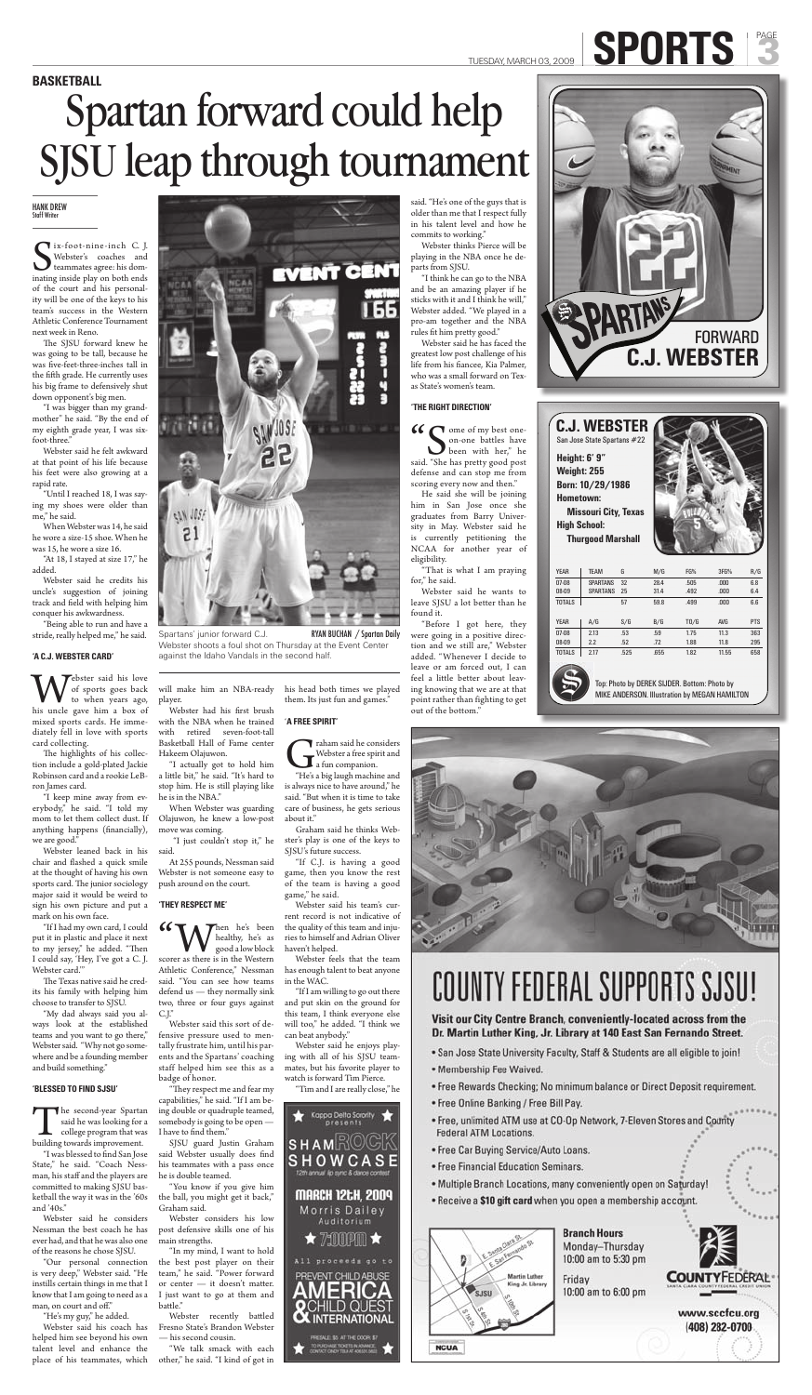Six-foot-nine-inch C. J.<br>Webster's coaches and<br>teammates agree: his dominating inside play on both ends Tix-foot-nine-inch C. J. Webster's coaches and teammates agree: his domof the court and his personality will be one of the keys to his team's success in the Western Athletic Conference Tournament next week in Reno.

The SJSU forward knew he was going to be tall, because he was five-feet-three-inches tall in the fifth grade. He currently uses his big frame to defensively shut down opponent's big men.

"I was bigger than my grandmother" he said. "By the end of my eighth grade year, I was sixfoot-three."

Webster said he felt awkward at that point of his life because his feet were also growing at a rapid rate.

Webster said his love<br>to when years ago,<br>his uncle gave him a box of of sports goes back to when years ago, mixed sports cards. He immediately fell in love with sports card collecting.

The highlights of his collection include a gold-plated Jackie Robinson card and a rookie LeBron James card.

"Until I reached 18, I was saying my shoes were older than me," he said.

When Webster was 14, he said he wore a size-15 shoe. When he was 15, he wore a size 16.

"At 18, I stayed at size 17," he added.

Webster said he credits his uncle's suggestion of joining track and field with helping him conquer his awkwardness.

The Texas native said he credits his family with helping him choose to transfer to SJSU.

"Being able to run and have a stride, really helped me," he said.

#### **'A C.J. WEBSTER CARD'**

The second-year Spartan said he was looking for a college program that was building towards improvement. said he was looking for a college program that was

"I was blessed to find San Jose State," he said. "Coach Nessman, his staff and the players are committed to making SJSU basketball the way it was in the '60s and '40s."

"Our personal connection is very deep," Webster said. "He instills certain things in me that I know that I am going to need as a man, on court and off."

"I keep mine away from everybody," he said. "I told my mom to let them collect dust. If anything happens (financially), we are good."



Webster had his first brush with the NBA when he trained with retired seven-foot-tall Basketball Hall of Fame center Hakeem Olajuwon.

Webster leaned back in his chair and flashed a quick smile at the thought of having his own sports card. The junior sociology major said it would be weird to sign his own picture and put a mark on his own face.

"If I had my own card, I could put it in plastic and place it next to my jersey," he added. "Then I could say, 'Hey, I've got a C. J. Webster card.'"

**66** W healthy, he's been good a low block scorer as there is in the Western healthy, he's as good a low block Athletic Conference," Nessman said. "You can see how teams defend us — they normally sink two, three or four guys against C.J."

"My dad always said you always look at the established teams and you want to go there," Webster said. "Why not go somewhere and be a founding member and build something."

> "In my mind, I want to hold the best post player on their team," he said. "Power forward or center — it doesn't matter. I just want to go at them and battle."

#### **'BLESSED TO FIND SJSU'**

Webster recently battled Fresno State's Brandon Webster — his second cousin.

Traham said he considers<br>Webster a free spirit and<br>"He's a big laugh machine and Webster a free spirit and a fun companion.

Webster said he considers Nessman the best coach he has ever had, and that he was also one of the reasons he chose SJSU.

"He's my guy," he added.

Webster said his coach has helped him see beyond his own talent level and enhance the place of his teammates, which

"I think he can go to the NBA and be an amazing player if he sticks with it and I think he will," Webster added. "We played in a pro-am together and the NBA rules fit him pretty good."

will make him an NBA-ready player.

"I actually got to hold him a little bit," he said. "It's hard to stop him. He is still playing like he is in the NBA."

 $\mathcal{C}$  ome of my best oneon-one battles have been with her," he said. "She has pretty good post defense and can stop me from scoring every now and then."

When Webster was guarding

Olajuwon, he knew a low-post move was coming.

 "I just couldn't stop it," he said.

At 255 pounds, Nessman said Webster is not someone easy to push around on the court.

#### **'THEY RESPECT ME'**

Webster said this sort of defensive pressure used to mentally frustrate him, until his parents and the Spartans' coaching staff helped him see this as a badge of honor.

"They respect me and fear my capabilities," he said. "If I am being double or quadruple teamed, somebody is going to be open — I have to find them."

Spartans' junior forward C.J. RYAN BUCHAN / Spartan Daily Webster shoots a foul shot on Thursday at the Event Center against the Idaho Vandals in the second half.

SJSU guard Justin Graham said Webster usually does find his teammates with a pass once he is double teamed.

"You know if you give him the ball, you might get it back," Graham said.

Webster considers his low post defensive skills one of his main strengths.

"We talk smack with each other," he said. "I kind of got in his head both times we played them. Its just fun and games."

'**A FREE SPIRIT'**

is always nice to have around," he said. "But when it is time to take

care of business, he gets serious about it."

Graham said he thinks Webster's play is one of the keys to SJSU's future success.

"If C.J. is having a good game, then you know the rest of the team is having a good game," he said.

Webster said his team's current record is not indicative of the quality of this team and injuries to himself and Adrian Oliver haven't helped.

Webster feels that the team has enough talent to beat anyone in the WAC.

"If I am willing to go out there and put skin on the ground for this team, I think everyone else will too," he added. "I think we can beat anybody."

Webster said he enjoys playing with all of his SJSU teammates, but his favorite player to watch is forward Tim Pierce.

"Tim and I are really close," he



# COUNTY FEDERAL SUPPORTS SJSU!

#### Visit our City Centre Branch, conveniently-located across from the Dr. Martin Luther King, Jr. Library at 140 East San Fernando Street.

- . San Jose State University Faculty, Staff & Students are all eligible to join!
- · Membership Fee Waived.
- Free Rewards Checking; No minimum balance or Direct Deposit requirement.
- Free Online Banking / Free Bill Pay.
- . Free, unlimited ATM use at CO-Op Network, 7-Eleven Stores and County Federal ATM Locations.
- . Free Car Buying Service/Auto Loans.
- Free Financial Education Seminars.
- . Multiple Branch Locations, many conveniently open on Saturday!
- . Receive a \$10 gift card when you open a membership account.



**Branch Hours** Monday-Thursday 10:00 am to 5:30 pm

Friday 10:00 am to 6:00 pm **COUNTYFEDERAL** 

www.sccfcu.org (408) 282-0700

said. "He's one of the guys that is older than me that I respect fully in his talent level and how he commits to working."

Webster thinks Pierce will be playing in the NBA once he departs from SJSU.

Webster said he has faced the greatest low post challenge of his life from his fiancee, Kia Palmer, who was a small forward on Texas State's women's team.

#### **'THE RIGHT DIRECTION'**

He said she will be joining him in San Jose once she graduates from Barry University in May. Webster said he is currently petitioning the NCAA for another year of eligibility.

"That is what I am praying for," he said.

Webster said he wants to leave SJSU a lot better than he found it.

"Before I got here, they were going in a positive direction and we still are," Webster added. "Whenever I decide to leave or am forced out, I can feel a little better about leaving knowing that we are at that point rather than fighting to get out of the bottom."



| Height: 6' 9"<br>Weight: 255         | <b>C.J. WEBSTER</b><br>San Jose State Spartans #22 |      |      |                                                                                               |       |            |  |  |
|--------------------------------------|----------------------------------------------------|------|------|-----------------------------------------------------------------------------------------------|-------|------------|--|--|
| <b>Born: 10/29/1986</b><br>Hometown: |                                                    |      |      |                                                                                               |       |            |  |  |
|                                      | <b>Missouri City, Texas</b>                        |      |      |                                                                                               |       |            |  |  |
| <b>High School:</b>                  |                                                    |      |      |                                                                                               |       |            |  |  |
|                                      | <b>Thurgood Marshall</b>                           |      |      |                                                                                               |       |            |  |  |
|                                      |                                                    |      |      |                                                                                               |       |            |  |  |
| <b>YEAR</b>                          | <b>TEAM</b>                                        | G    | M/G  | FG%                                                                                           | 3FG%  | R/G        |  |  |
| 07-08                                | <b>SPARTANS</b>                                    | 32   | 284  | .505                                                                                          | .000  | 6.8        |  |  |
| 08-09                                | <b>SPARTANS</b>                                    | 25   | 31.4 | .492                                                                                          | .000  | 6.4        |  |  |
| <b>TOTALS</b>                        |                                                    | 57   | 59.8 | .499                                                                                          | .000  | 6.6        |  |  |
| <b>YEAR</b>                          | A/G                                                | S/G  | B/G  | T0/G                                                                                          | AVG   | <b>PTS</b> |  |  |
| $07-08$                              | 213                                                | 53   | 59   | 175                                                                                           | 11.3  | 363        |  |  |
| 08-09                                | 2.2                                                | .52  | .72  | 1.88                                                                                          | 11.8  | 295        |  |  |
| <b>TOTALS</b>                        | 2.17                                               | .525 | .655 | 1.82                                                                                          | 11.55 | 658        |  |  |
|                                      |                                                    |      |      | Top: Photo by DEREK SIJDER. Bottom: Photo by<br>MIKE ANDERSON. Illustration by MEGAN HAMILTON |       |            |  |  |



#### HANK DREW Staff Writer

# TUESDAY, MARCH 03, 2009 SPORTS

# Spartan forward could help SJSU leap through tournament **BASKETBALL**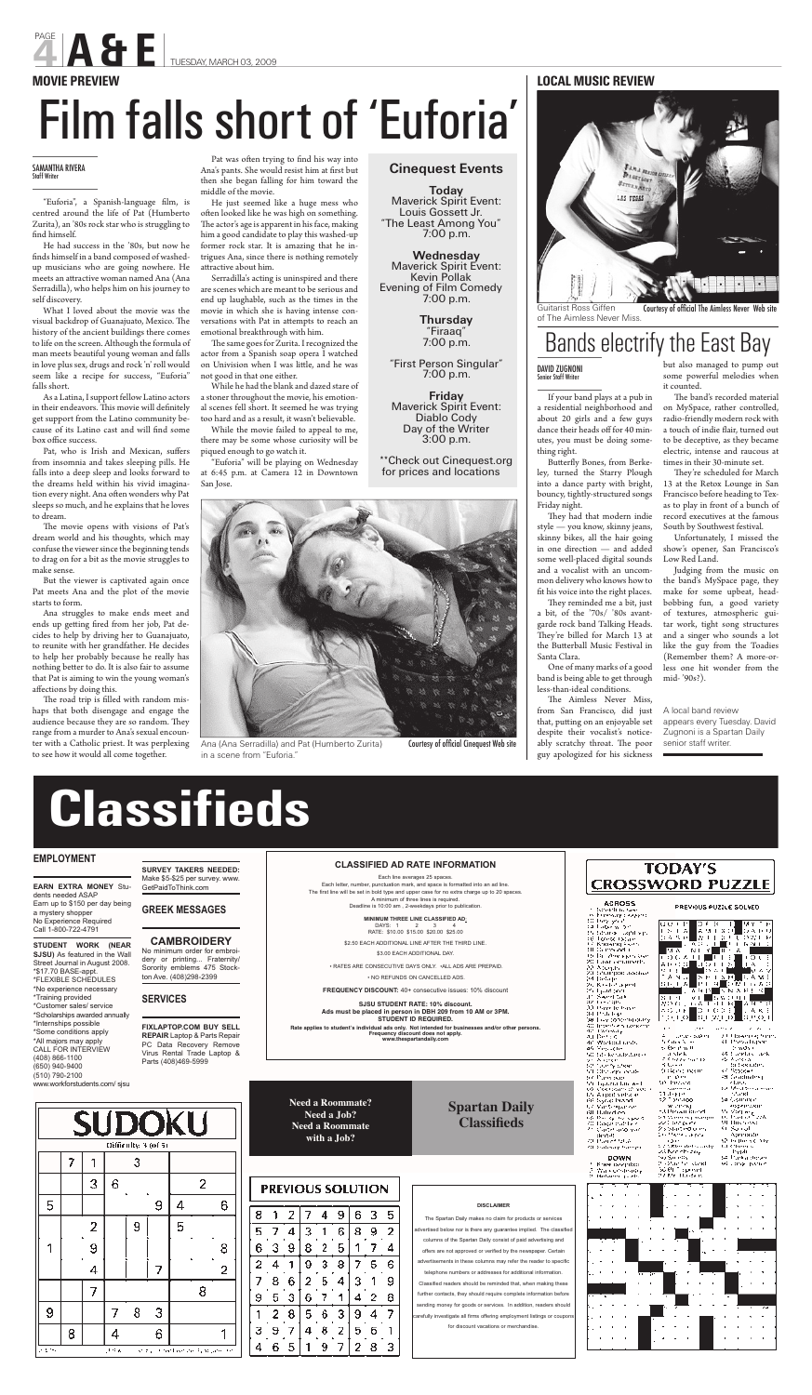# **Classifieds**

#### **EMPLOYMENT**

**EARN EXTRA MONEY** Students needed ASAP Earn up to \$150 per day being a mystery shopper No Experience Required Call 1-800-722-4791

**STUDENT WORK (NEAR SJSU)** As featured in the Wall Street Journal in August 2008. \*\$17.70 BASE-appt. \*FLEXIBLE SCHEDULES \*No experience necessary \*Training provided \*Customer sales/ service \*Scholarships awarded annually \*Internships possible \*Some conditions apply \*All majors may apply CALL FOR INTERVIEW (408) 866-1100 (650) 940-9400 (510) 790-2100 www.workforstudents.com/ sjsu

**SURVEY TAKERS NEEDED:**  Make \$5-\$25 per survey. www. GetPaidToThink.com

**GREEK MESSAGES**

#### **CAMBROIDERY**

No minimum order for embroidery or printing... Fraternity/ Sorority emblems 475 Stockton Ave. (408)298-2399

#### **SERVICES**

**FIXLAPTOP.COM BUY SELL REPAIR** Laptop & Parts Repair PC Data Recovery Remove Virus Rental Trade Laptop & Parts (408)469-5999

#### Oifficulty: 3 (of 5) 7 3 ı 3 6 2 5 9 4 6 2 9 5 1 9 8 4 7 2 7 8 9 8 З 7 8 4 6 1 o Entre J.H.A study in the lose and progress to

#### **CLASSIFIED AD RATE INFORMATION**

Each line averages 25 spaces. Each letter, number, punctuation mark, and space is formatted into an ad line. The first line will be set in bold type and upper case for no extra charge up to 20 spaces. A minimum of three lines is required. Deadline is 10:00 am , 2-weekdays prior to publication.

**MINIMUM THREE LINE CLASSIFIED AD**:

DAYS: 1 2 3 4 RATE: \$10.00 \$15.00 \$20.00 \$25.00

\$2.50 EACH ADDITIONAL LINE AFTER THE THIRD LINE.

\$3.00 EACH ADDITIONAL DAY.

• RATES ARE CONSECUTIVE DAYS ONLY. •ALL ADS ARE PREPAID.

• NO REFUNDS ON CANCELLED ADS.

Butterfly Bones, from Berkeley, turned the Starry Plough into a dance party with bright, bouncy, tightly-structured songs Friday night.

They had that modern indie style — you know, skinny jeans, skinny bikes, all the hair going in one direction — and added some well-placed digital sounds and a vocalist with an uncommon delivery who knows how to fit his voice into the right places.

**FREQUENCY DISCOUNT:** 40+ consecutive issues: 10% discount

**SJSU STUDENT RATE: 10% discount. Ads must be placed in person in DBH 209 from 10 AM or 3PM. STUDENT ID REQUIRED.** 

They reminded me a bit, just a bit, of the '70s/ '80s avantgarde rock band Talking Heads. They're billed for March 13 at Santa Clara.

**Rate applies to student's individual ads only. Not intended for businesses and/or other persons. Frequency discount does not apply. www.thespartandaily.com**

The Aimless Never Miss, from San Francisco, did just A local band review that, putting on an enjoyable set despite their vocalist's noticeably scratchy throat. The poor guy apologized for his sickness

The band's recorded material on MySpace, rather controlled, radio-friendly modern rock with a touch of indie flair, turned out to be deceptive, as they became electric, intense and raucous at times in their 30-minute set.

They're scheduled for March 13 at the Retox Lounge in San Francisco before heading to Texas to play in front of a bunch of record executives at the famous South by Southwest festival.

**DISCLAIMER** The Spartan Daily makes no claim for products or services dvertised below nor is there any guarantee implied. The classifie columns of the Spartan Daily consist of paid advertising and offers are not approved or verified by the newspaper. Certain advertisements in these columns may refer the reader to specific telephone numbers or addresses for additional information. Classified readers should be reminded that, when making these further contacts, they should require complete information before sending money for goods or services. In addition, readers should refully investigate all firms offering employment listings or cou for discount vacations or merchandise.

### na Calendrian<br>19 Demonstration<br>19 Demonstration<br>19 Negative Christian<br>19 Negative Christian<br>19 Person Christian<br>19 Person Christian  $\mathbb{P}^{n}$  . Participation open  $\mathbb{C}$  ,  $\mathbb{C}^{n}$  . This probability is a set of the  $\mathbb{C}^{n}$  . Containing the  $\mathbb{C}^{n}$ Service Control<br>Partner et Mark OL Subway harves

**ACROSS** 

metali in Jus

Second to the condition of the second to the second to the second to the second to the second to the second to the second to the second to the second to the second to the second to the second to the second to the second t

az Tarszágo<br>10 Daniel Republik<br>10 Daniel Republik<br>10 Daniel Republikánská říše<br>40 Daniel Republikánská

au Detsk Workerd under

Yes kom se to ke allednes († 1911)<br>1911: August<br>1911: John Schweizer<br>1911: Oberegissenski

DOWN Knee isocritica 2. Walk of Steady<br>2. Between jasety

 $\begin{array}{ll} \mathbb{E} & \log \mathbb{E} \left( \mathrm{exp} \left( \mathrm{exp} \right) \right) \\ \mathbb{E} \left( \mathrm{diag} \mathcal{N} \right) \\ \mathbb{E} \left( \mathrm{Spec} \mathcal{N} \right) \\ \mathbb{E} \left( \mathrm{Spec} \mathcal{N} \right) \\ \mathbb{E} \left( \mathrm{Spec} \mathcal{N} \right) \\ \mathbb{E} \left( \mathrm{Spec} \mathcal{N} \right) \\ \mathbb{E} \left( \mathrm{Spec} \mathcal{N} \right) \end{array}$ 200 biser og han.<br>Af Thesa Lasse ille montaire.<br>148 : Sandary Caele son construction<br>
Conferencies<br>
Strates<br>
Strates<br>
Strates<br>
Conferencies<br>
Conferencies<br>
Conferencies<br>
Conferencies<br>
Conferencies<br>
Conferencies<br>
Conferencies<br>
Conferencies<br>
Conferencies<br>
Conferencies<br>
Conferencies<br>
Conferenc 0.0000 meeting Janet. Sa Common  $\begin{array}{l} \mathcal{M} \rightarrow \mathcal{M} \rightarrow \mathcal{M} \rightarrow \mathcal{M} \rightarrow \mathcal{M} \rightarrow \mathcal{M} \rightarrow \mathcal{M} \rightarrow \mathcal{M} \rightarrow \mathcal{M} \rightarrow \mathcal{M} \rightarrow \mathcal{M} \rightarrow \mathcal{M} \rightarrow \mathcal{M} \rightarrow \mathcal{M} \rightarrow \mathcal{M} \rightarrow \mathcal{M} \rightarrow \mathcal{M} \rightarrow \mathcal{M} \rightarrow \mathcal{M} \rightarrow \mathcal{M} \rightarrow \mathcal{M} \rightarrow \mathcal{M} \rightarrow \mathcal{M} \rightarrow \mathcal{M} \rightarrow \mathcal{M} \rightarrow \mathcal{M} \rightarrow \mathcal{M$  $\begin{array}{l} \text{superscript{max}}\\ \text{superscript{max}}\\ \text{for } \text{Var}(\mathbf{w}) = \mathbf{y} \\ \text{for } \text{Var}(\mathbf{w}) = \mathbf{y}/\hbar \end{array}$ se Pari e Na<br>Su Husboss 23 Martino di mi<br>16 Mare Lugha ان، ریز ۱۸ Apertande  $\begin{array}{l} \mathcal{L}^{\text{c}}(\mathbb{C}^{\text{c}}) \cap \mathcal{L}^{\text{c}}(\mathbb{C}^{\text{c}}) \cap \mathcal{L}^{\text{c}}(\mathbb{C}^{\text{c}}) \cap \mathcal{L}^{\text{c}}(\mathbb{C}^{\text{c}}) \cap \mathcal{L}^{\text{c}}(\mathbb{C}^{\text{c}}) \cap \mathcal{L}^{\text{c}}(\mathbb{C}^{\text{c}}) \cap \mathcal{L}^{\text{c}}(\mathbb{C}^{\text{c}}) \cap \mathcal{L}^{\text{c}}(\mathbb{C}^{\text{c}}$  $\begin{array}{l} \partial \rho \quad \text{for} \, \rho \leq \rho \, \text{for} \, \rho \\ \partial \rho \quad \text{for} \, \rho \leq \rho \, \text{for} \, \rho \\ \partial \rho \quad \text{for} \, \rho \leq \rho \, \text{for} \, \rho \\ \partial \rho \quad \text{for} \, \rho \leq \rho \, \text{for} \, \rho \\ \end{array}$ sei componissino



the Butterball Music Festival in like the guy from the Toadies Judging from the music on the band's MySpace page, they make for some upbeat, headbobbing fun, a good variety of textures, atmospheric guitar work, tight song structures and a singer who sounds a lot (Remember them? A more-orless one hit wonder from the mid- '90s?).

**Need a Roommate? Need a Job? Need a Roommate with a Job?**

|   | <b>PREVIOUS SOLUTION</b> |   |   |   |   |   |   |   |  |  |  |  |
|---|--------------------------|---|---|---|---|---|---|---|--|--|--|--|
| 8 |                          | 2 |   | 4 | 9 | 6 | з | 5 |  |  |  |  |
| 5 |                          | 4 | 3 |   | 6 | 8 | 9 | 2 |  |  |  |  |
| 6 | з                        | 9 | 8 | 2 | 5 |   |   | 4 |  |  |  |  |
| 2 | 4                        |   | 9 | 3 | 8 |   | 5 | 6 |  |  |  |  |
| 7 | 8                        | 6 | 2 | 5 | 4 | з |   | 9 |  |  |  |  |
| 9 | 5                        | 3 | 6 | 7 |   | 4 | 2 | 8 |  |  |  |  |
|   | 2                        | 8 | 5 | 6 | з | 9 |   | 7 |  |  |  |  |
| З | 9                        | 7 | 4 | 8 | 2 | 5 | 6 |   |  |  |  |  |
| 4 | 6                        | 5 |   | 9 | 7 | 2 | 8 | 3 |  |  |  |  |

### **Spartan Daily Classifieds**

PAGE

As a Latina, I support fellow Latino actors in their endeavors. This movie will definitely get support from the Latino community because of its Latino cast and will find some box office success.

If your band plays at a pub in a residential neighborhood and about 20 girls and a few guys dance their heads off for 40 minutes, you must be doing something right.

Pat, who is Irish and Mexican, suffers from insomnia and takes sleeping pills. He falls into a deep sleep and looks forward to the dreams held within his vivid imagination every night. Ana often wonders why Pat sleeps so much, and he explains that he loves to dream.

The movie opens with visions of Pat's dream world and his thoughts, which may confuse the viewer since the beginning tends to drag on for a bit as the movie struggles to make sense.

Ana struggles to make ends meet and ends up getting fired from her job, Pat decides to help by driving her to Guanajuato, to reunite with her grandfather. He decides to help her probably because he really has nothing better to do. It is also fair to assume that Pat is aiming to win the young woman's affections by doing this.

The road trip is filled with random mishaps that both disengage and engage the audience because they are so random. They range from a murder to Ana's sexual encounter with a Catholic priest. It was perplexing to see how it would all come together.

One of many marks of a good band is being able to get through less-than-ideal conditions.

Pat was often trying to find his way into Ana's pants. She would resist him at first but then she began falling for him toward the middle of the movie.

He just seemed like a huge mess who often looked like he was high on something. The actor's age is apparent in his face, making him a good candidate to play this washed-up former rock star. It is amazing that he intrigues Ana, since there is nothing remotely attractive about him.

> but also managed to pump out some powerful melodies when it counted.

The same goes for Zurita. I recognized the actor from a Spanish soap opera I watched on Univision when I was little, and he was not good in that one either.

Guitarist Ross Giffen of The Aimless Never Miss. Courtesy of official The Aimless Never Web site

> Unfortunately, I missed the show's opener, San Francisco's Low Red Land.

### Bands electrify the East Bay

appears every Tuesday. David Zugnoni is a Spartan Daily senior staff writer.

PREVIOUS PUZZLE SOLVED

**TODAY'S CROSSWORD PUZZLE** 

> и. այութ  $\sim$

in Pierre<br>Militarre Green a ст Дарта.<br>32. Прим**оо** 

#### **LOCAL MUSIC REVIEW**



He had success in the '80s, but now he finds himself in a band composed of washedup musicians who are going nowhere. He meets an attractive woman named Ana (Ana Serradilla), who helps him on his journey to self discovery.

What I loved about the movie was the visual backdrop of Guanajuato, Mexico. The history of the ancient buildings there comes to life on the screen. Although the formula of man meets beautiful young woman and falls in love plus sex, drugs and rock 'n' roll would seem like a recipe for success, "Euforia" falls short.

But the viewer is captivated again once Pat meets Ana and the plot of the movie starts to form.

Serradilla's acting is uninspired and there are scenes which are meant to be serious and end up laughable, such as the times in the movie in which she is having intense conversations with Pat in attempts to reach an emotional breakthrough with him.

While he had the blank and dazed stare of a stoner throughout the movie, his emotional scenes fell short. It seemed he was trying too hard and as a result, it wasn't believable.

While the movie failed to appeal to me, there may be some whose curiosity will be piqued enough to go watch it.

"Euforia" will be playing on Wednesday at 6:45 p.m. at Camera 12 in Downtown San Jose.



Ana (Ana Serradilla) and Pat (Humberto Zurita) Courtesy of official Cinequest Web site

# Film falls short of 'Euforia'

PAGE<br>**A A & E** TUESDAY, MARCH 03, 2009

#### **MOVIE PREVIEW**

in a scene from "Euforia."

**Cinequest Events**

**Today** Maverick Spirit Event: Louis Gossett Jr. "The Least Among You" 7:00 p.m.

**Wednesday** Maverick Spirit Event: Kevin Pollak Evening of Film Comedy 7:00 p.m.

> **Thursday** "Firaaq" 7:00 p.m.

"First Person Singular" 7:00 p.m.

**Friday** Maverick Spirit Event: Diablo Cody Day of the Writer 3:00 p.m.

\*\*Check out Cinequest.org for prices and locations

#### DAVID ZUGNONI Senior Staff Writer

#### SAMANTHA RIVERA Staff Writer

"Euforia", a Spanish-language film, is centred around the life of Pat (Humberto Zurita), an '80s rock star who is struggling to find himself.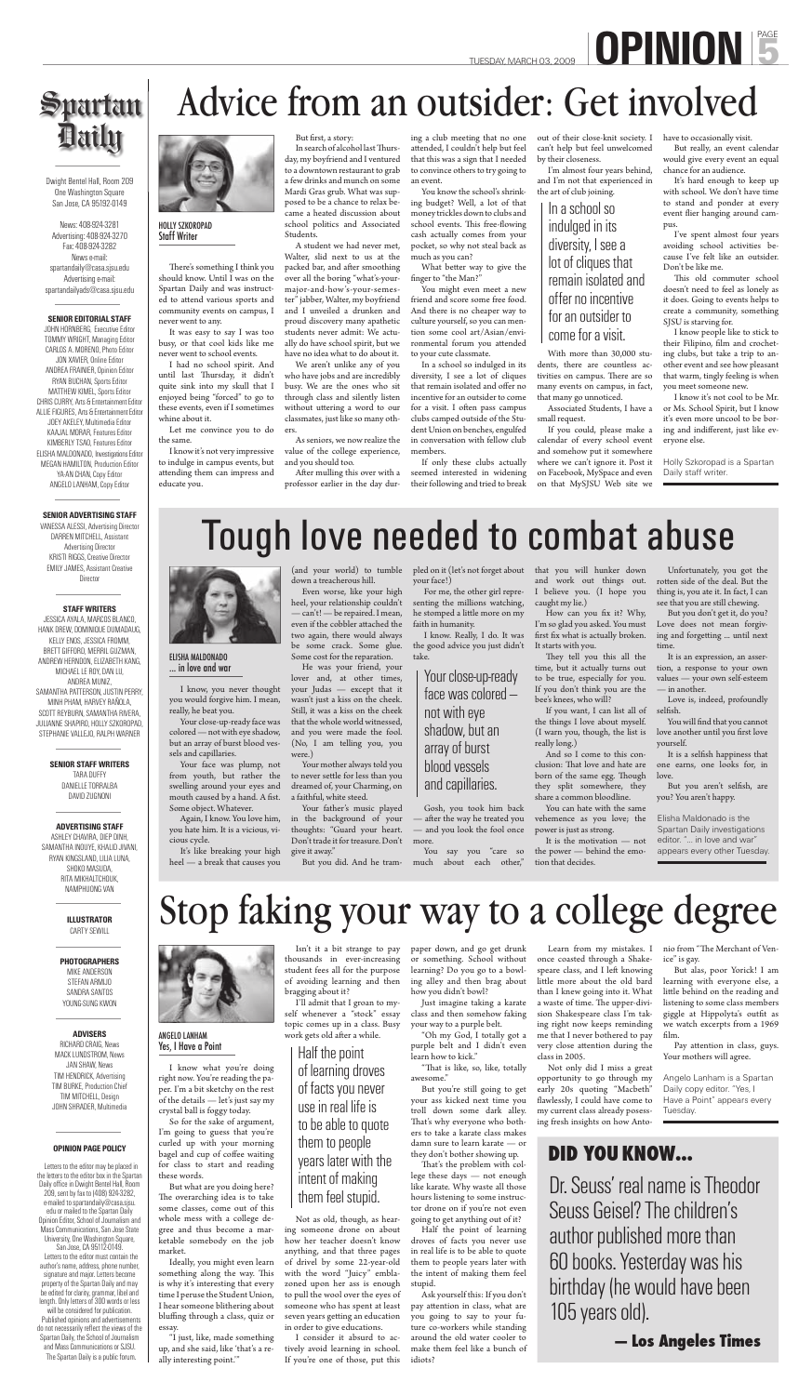There's something I think you should know. Until I was on the Spartan Daily and was instructed to attend various sports and community events on campus, I never went to any.

It was easy to say I was too busy, or that cool kids like me never went to school events.

I had no school spirit. And until last Thursday, it didn't quite sink into my skull that I enjoyed being "forced" to go to these events, even if I sometimes whine about it.

In search of alcohol last Thursday, my boyfriend and I ventured to a downtown restaurant to grab a few drinks and munch on some Mardi Gras grub. What was supposed to be a chance to relax became a heated discussion about school politics and Associated Students.

Let me convince you to do the same.

I know it's not very impressive to indulge in campus events, but attending them can impress and educate you.

#### But first, a story:

After mulling this over with a professor earlier in the day dur-

A student we had never met, Walter, slid next to us at the packed bar, and after smoothing over all the boring "what's-yourmajor-and-how's-your-semester" jabber, Walter, my boyfriend and I unveiled a drunken and proud discovery many apathetic students never admit: We actually do have school spirit, but we have no idea what to do about it.

We aren't unlike any of you who have jobs and are incredibly busy. We are the ones who sit through class and silently listen without uttering a word to our classmates, just like so many others.

As seniors, we now realize the value of the college experience, and you should too.

ing a club meeting that no one attended, I couldn't help but feel that this was a sign that I needed to convince others to try going to an event.

> This old commuter school doesn't need to feel as lonely as it does. Going to events helps to create a community, something SJSU is starving for.

You know the school's shrinking budget? Well, a lot of that money trickles down to clubs and school events. This free-flowing cash actually comes from your pocket, so why not steal back as much as you can?

What better way to give the finger to "the Man?"

You might even meet a new friend and score some free food. And there is no cheaper way to culture yourself, so you can mention some cool art/Asian/environmental forum you attended to your cute classmate.

In a school so indulged in its diversity, I see a lot of cliques that remain isolated and offer no incentive for an outsider to come for a visit. I often pass campus clubs camped outside of the Student Union on benches, engulfed in conversation with fellow club members.

VANESSA ALESSI, Advertising Director DARREN MITCHELL, Assistant Advertising Director KRISTI RIGGS, Creative Director EMILY JAMES, Assistant Creative **Director** 

If only these clubs actually seemed interested in widening their following and tried to break

out of their close-knit society. I have to occasionally visit. can't help but feel unwelcomed by their closeness.

I'm almost four years behind, and I'm not that experienced in the art of club joining.

With more than 30,000 students, there are countless activities on campus. There are so many events on campus, in fact, that many go unnoticed.

Associated Students, I have a small request.

If you could, please make a calendar of every school event and somehow put it somewhere where we can't ignore it. Post it on Facebook, MySpace and even on that MySJSU Web site we

But really, an event calendar would give every event an equal chance for an audience.

It's hard enough to keep up with school. We don't have time to stand and ponder at every event flier hanging around campus.

TUESDAY, MARCH 03, 2009 **DPINION** 

# Spartan **Daily**

I've spent almost four years avoiding school activities because I've felt like an outsider. Don't be like me.

I know people like to stick to their Filipino, film and crocheting clubs, but take a trip to another event and see how pleasant that warm, tingly feeling is when you meet someone new.

I know it's not cool to be Mr. or Ms. School Spirit, but I know it's even more uncool to be boring and indifferent, just like everyone else.

Dwight Bentel Hall, Room 209 One Washington Square San Jose, CA 95192-0149

News: 408-924-3281 Advertising: 408-924-3270 Fax: 408-924-3282 News e-mail: spartandaily@casa.sjsu.edu Advertising e-mail: spartandailyads@casa.sjsu.edu

#### **SENIOR EDITORIAL STAFF**

How can you fix it? Why, I'm so glad you asked. You must first fix what is actually broken. It starts with you.

They tell you this all the time, but it actually turns out to be true, especially for you. If you don't think you are the bee's knees, who will?

JOHN HORNBERG, Executive Editor TOMMY WRIGHT, Managing Editor CARLOS A. MORENO, Photo Editor JON XAVIER, Online Editor ANDREA FRAINIER, Opinion Editor RYAN BUCHAN, Sports Editor MATTHEW KIMEL, Sports Editor CHRIS CURRY, Arts & Entertainment Editor ALLIE FIGURES, Arts & Entertainment Editor JOEY AKELEY, Multimedia Editor KAAJAL MORAR, Features Editor KIMBERLY TSAO, Features Editor ELISHA MALDONADO, Investigations Editor MEGAN HAMILTON, Production Editor YA-AN CHAN, Copy Editor ANGELO LANHAM, Copy Editor

#### **SENIOR ADVERTISING STAFF**

Love is, indeed, profoundly selfish.

You will find that you cannot love another until you first love yourself.

It is a selfish happiness that one earns, one looks for, in love.

#### **STAFF WRITERS**

But you aren't selfish, are you? You aren't happy.

JESSICA AYALA, MARCOS BLANCO, HANK DREW, DOMINIQUE DUMADAUG, KELLY ENOS, JESSICA FROMM, BRETT GIFFORD, MERRIL GUZMAN, ANDREW HERNDON, ELIZABETH KANG, MICHAEL LE ROY, DAN LU, ANDREA MUNIZ, SAMANTHA PATTERSON, JUSTIN PERRY, MINH PHAM, HARVEY RAÑOLA, SCOTT REYBURN, SAMANTHA RIVERA, JULIANNE SHAPIRO, HOLLY SZKOROPAD, STEPHANIE VALLEJO, RALPH WARNER

> **SENIOR STAFF WRITERS** TARA DUFFY DANIELLE TORRALBA DAVID ZUGNONI



**ADVERTISING STAFF**

ASHLEY CHAVIRA, DIEP DINH, SAMANTHA INOUYE, KHALID JIVANI, RYAN KINGSLAND, LILIA LUNA, SHOKO MASUDA, RITA MIKHALTCHOUK, NAMPHUONG VAN

> I'll admit that I groan to myself whenever a "stock" essay topic comes up in a class. Busy work gets old after a while.

**ILLUSTRATOR** CARTY SEWILL

**PHOTOGRAPHERS** MIKE ANDERSON STEFAN ARMIJO SANDRA SANTOS YOUNG-SUNG KWON

**ADVISERS**

RICHARD CRAIG, News MACK LUNDSTROM, News JAN SHAW, News TIM HENDRICK, Advertising TIM BURKE, Production Chief TIM MITCHELL, Design JOHN SHRADER, Multimedia

#### **OPINION PAGE POLICY**

"That is like, so, like, totally awesome."

 Letters to the editor may be placed in the letters to the editor box in the Spartan Daily office in Dwight Bentel Hall, Room 209, sent by fax to (408) 924-3282, e-mailed to spartandaily@casa.sjsu. edu or mailed to the Spartan Daily Opinion Editor, School of Journalism and Mass Communications, San Jose State University, One Washington Square, San Jose, CA 95112-0149.

That's the problem with college these days — not enough like karate. Why waste all those hours listening to some instructor drone on if you're not even going to get anything out of it?

 Letters to the editor must contain the author's name, address, phone number, signature and major. Letters become property of the Spartan Daily and may be edited for clarity, grammar, libel and length. Only letters of 300 words or less

will be considered for publication. Published opinions and advertisements do not necessarily reflect the views of the Spartan Daily, the School of Journalism and Mass Communications or SJSU. The Spartan Daily is a public forum.

### **DID YOU KNOW...**

Dr. Seuss' real name is Theodor Seuss Geisel? The children's author published more than 60 books. Yesterday was his birthday (he would have been 105 years old).

**— Los Angeles Times**

Tough love needed to combat abuse

I know, you never thought you would forgive him. I mean, really, he beat you.

#### nio from "The Merchant of Venice" is gay.

But alas, poor Yorick! I am learning with everyone else, a little behind on the reading and listening to some class members giggle at Hippolyta's outfit as we watch excerpts from a 1969 film.

Your close-up-ready face was colored — not with eye shadow, but an array of burst blood vessels and capillaries.

> Pay attention in class, guys. Your mothers will agree.

Your face was plump, not from youth, but rather the swelling around your eyes and mouth caused by a hand. A fist. Some object. Whatever.

Again, I know. You love him,

you hate him. It is a vicious, vicious cycle.

It's like breaking your high heel — a break that causes you

(and your world) to tumble down a treacherous hill.

Even worse, like your high heel, your relationship couldn't — can't! — be repaired. I mean, even if the cobbler attached the two again, there would always be some crack. Some glue. Some cost for the reparation.

He was your friend, your lover and, at other times, your Judas — except that it wasn't just a kiss on the cheek. Still, it was a kiss on the cheek that the whole world witnessed, and you were made the fool. (No, I am telling you, you were.)

Your mother always told you to never settle for less than you dreamed of, your Charming, on a faithful, white steed.

Your father's music played

in the background of your thoughts: "Guard your heart. Don't trade it for treasure. Don't give it away."

pled on it (let's not forget about your face!)

For me, the other girl representing the millions watching, he stomped a little more on my faith in humanity.

But you did. And he tram-much about each other," Gosh, you took him back — aft er the way he treated you vehemence as you love; the — and you look the fool once more. You say you "care so

I know. Really, I do. It was the good advice you just didn't take.

that you will hunker down and work out things out. I believe you. (I hope you caught my lie.)

If you want, I can list all of the things I love about myself. (I warn you, though, the list is really long.)

And so I come to this conclusion: That love and hate are born of the same egg. Though they split somewhere, they share a common bloodline.

You can hate with the sam

power is just as strong.

It is the motivation — not the power — behind the emotion that decides.

Unfortunately, you got the rotten side of the deal. But the thing is, you ate it. In fact, I can see that you are still chewing.

But you don't get it, do you? Love does not mean forgiving and forgetting ... until next time.

It is an expression, an assertion, a response to your own values — your own self-esteem — in another.

Advice from an outsider: Get involved

#### ELISHA MALDONADO ... in love and war

I know what you're doing right now. You're reading the paper. I'm a bit sketchy on the rest of the details — let's just say my crystal ball is foggy today.

So for the sake of argument, I'm going to guess that you're curled up with your morning bagel and cup of coffee waiting for class to start and reading these words.

But what are you doing here? The overarching idea is to take some classes, come out of this whole mess with a college degree and thus become a marketable somebody on the job market.

Ideally, you might even learn something along the way. This is why it's interesting that every time I peruse the Student Union, I hear someone blithering about bluffing through a class, quiz or essay.

"I just, like, made something up, and she said, like 'that's a really interesting point.'"

Isn't it a bit strange to pay thousands in ever-increasing student fees all for the purpose of avoiding learning and then bragging about it?

Not as old, though, as hearing someone drone on about how her teacher doesn't know anything, and that three pages of drivel by some 22-year-old with the word "Juicy" emblazoned upon her ass is enough to pull the wool over the eyes of someone who has spent at least seven years getting an education in order to give educations.

I consider it absurd to actively avoid learning in school. If you're one of those, put this paper down, and go get drunk or something. School without learning? Do you go to a bowling alley and then brag about how you didn't bowl?

Just imagine taking a karate class and then somehow faking your way to a purple belt.

"Oh my God, I totally got a purple belt and I didn't even learn how to kick."

But you're still going to get your ass kicked next time you troll down some dark alley. That's why everyone who bothers to take a karate class makes damn sure to learn karate — or they don't bother showing up.

Half the point of learning droves of facts you never use in real life is to be able to quote them to people years later with the intent of making them feel stupid.

Ask yourself this: If you don't pay attention in class, what are you going to say to your future co-workers while standing around the old water cooler to make them feel like a bunch of idiots?

#### ANGELO LANHAM Yes, I Have a Point

Angelo Lanham is a Spartan Daily copy editor. "Yes, I Have a Point" appears every Tuesday.

# Stop faking your way to a college degree



In a school so indulged in its diversity, I see a lot of cliques that remain isolated and offer no incentive for an outsider to come for a visit.

HOLLY SZKOROPAD Staff Writer

> Holly Szkoropad is a Spartan Daily staff writer.

Your close-up-ready face was colored not with eye shadow, but an array of burst blood vessels and capillaries.

> Elisha Maldonado is the Spartan Daily investigations editor. "... in love and war" appears every other Tuesday.

Half the point of learning droves of facts you never use in real life is to be able to quote them to people years later with the intent of making them feel stupid.

Learn from my mistakes. I once coasted through a Shakespeare class, and I left knowing little more about the old bard than I knew going into it. What a waste of time. The upper-division Shakespeare class I'm taking right now keeps reminding me that I never bothered to pay very close attention during the class in 2005.

Not only did I miss a great opportunity to go through my early 20s quoting "Macbeth" flawlessly, I could have come to my current class already posessing fresh insights on how Anto-